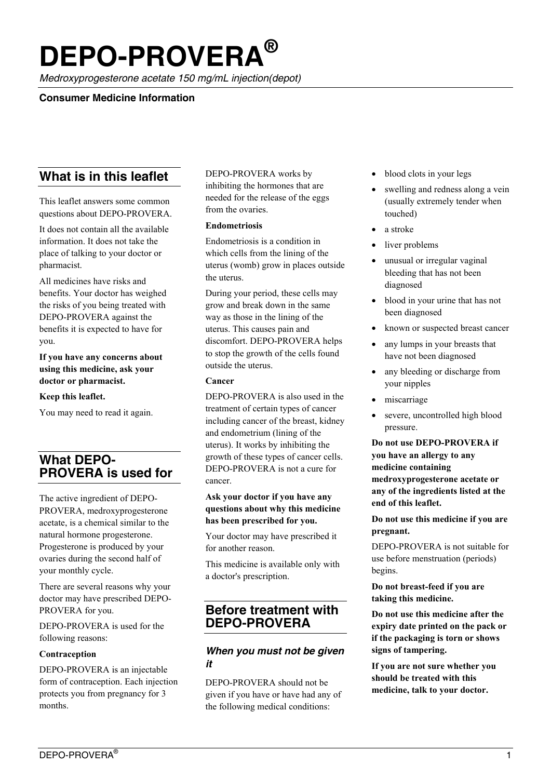# **DEPO-PROVERA®**

*Medroxyprogesterone acetate 150 mg/mL injection(depot)*

## **Consumer Medicine Information**

# **What is in this leaflet**

This leaflet answers some common questions about DEPO-PROVERA.

It does not contain all the available information. It does not take the place of talking to your doctor or pharmacist.

All medicines have risks and benefits. Your doctor has weighed the risks of you being treated with DEPO-PROVERA against the benefits it is expected to have for you.

**If you have any concerns about using this medicine, ask your doctor or pharmacist.**

#### **Keep this leaflet.**

You may need to read it again.

# **What DEPO-PROVERA is used for**

The active ingredient of DEPO-PROVERA, medroxyprogesterone acetate, is a chemical similar to the natural hormone progesterone. Progesterone is produced by your ovaries during the second half of your monthly cycle.

There are several reasons why your doctor may have prescribed DEPO-PROVERA for you.

DEPO-PROVERA is used for the following reasons:

#### **Contraception**

DEPO-PROVERA is an injectable form of contraception. Each injection protects you from pregnancy for 3 months.

#### DEPO-PROVERA works by inhibiting the hormones that are needed for the release of the eggs from the ovaries.

#### **Endometriosis**

Endometriosis is a condition in which cells from the lining of the uterus (womb) grow in places outside the uterus.

During your period, these cells may grow and break down in the same way as those in the lining of the uterus. This causes pain and discomfort. DEPO-PROVERA helps to stop the growth of the cells found outside the uterus.

#### **Cancer**

DEPO-PROVERA is also used in the treatment of certain types of cancer including cancer of the breast, kidney and endometrium (lining of the uterus). It works by inhibiting the growth of these types of cancer cells. DEPO-PROVERA is not a cure for cancer.

#### **Ask your doctor if you have any questions about why this medicine has been prescribed for you.**

Your doctor may have prescribed it for another reason.

This medicine is available only with a doctor's prescription.

# **Before treatment with DEPO-PROVERA**

## *When you must not be given it*

DEPO-PROVERA should not be given if you have or have had any of the following medical conditions:

- blood clots in your legs
- swelling and redness along a vein (usually extremely tender when touched)
- a stroke
- liver problems
- unusual or irregular vaginal bleeding that has not been diagnosed
- blood in your urine that has not been diagnosed
- known or suspected breast cancer
- any lumps in your breasts that have not been diagnosed
- any bleeding or discharge from your nipples
- miscarriage
- severe, uncontrolled high blood pressure.

**Do not use DEPO-PROVERA if you have an allergy to any medicine containing medroxyprogesterone acetate or any of the ingredients listed at the end of this leaflet.**

**Do not use this medicine if you are pregnant.**

DEPO-PROVERA is not suitable for use before menstruation (periods) begins.

**Do not breast-feed if you are taking this medicine.**

**Do not use this medicine after the expiry date printed on the pack or if the packaging is torn or shows signs of tampering.**

**If you are not sure whether you should be treated with this medicine, talk to your doctor.**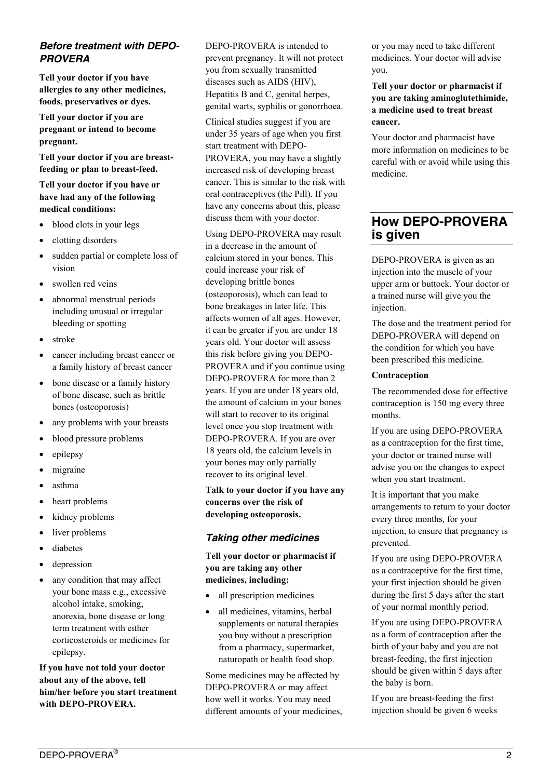## *Before treatment with DEPO-PROVERA*

**Tell your doctor if you have allergies to any other medicines, foods, preservatives or dyes.**

**Tell your doctor if you are pregnant or intend to become pregnant.**

**Tell your doctor if you are breastfeeding or plan to breast-feed.**

**Tell your doctor if you have or have had any of the following medical conditions:**

- blood clots in your legs
- clotting disorders
- sudden partial or complete loss of vision
- swollen red veins
- abnormal menstrual periods including unusual or irregular bleeding or spotting
- stroke
- cancer including breast cancer or a family history of breast cancer
- bone disease or a family history of bone disease, such as brittle bones (osteoporosis)
- any problems with your breasts
- blood pressure problems
- epilepsy
- migraine
- asthma
- heart problems
- kidney problems
- liver problems
- diabetes
- depression
- any condition that may affect your bone mass e.g., excessive alcohol intake, smoking, anorexia, bone disease or long term treatment with either corticosteroids or medicines for epilepsy.

**If you have not told your doctor about any of the above, tell him/her before you start treatment with DEPO-PROVERA.**

DEPO-PROVERA is intended to prevent pregnancy. It will not protect you from sexually transmitted diseases such as AIDS (HIV), Hepatitis B and C, genital herpes, genital warts, syphilis or gonorrhoea.

Clinical studies suggest if you are under 35 years of age when you first start treatment with DEPO-PROVERA, you may have a slightly increased risk of developing breast cancer. This is similar to the risk with oral contraceptives (the Pill). If you have any concerns about this, please discuss them with your doctor.

Using DEPO-PROVERA may result in a decrease in the amount of calcium stored in your bones. This could increase your risk of developing brittle bones (osteoporosis), which can lead to bone breakages in later life. This affects women of all ages. However, it can be greater if you are under 18 years old. Your doctor will assess this risk before giving you DEPO-PROVERA and if you continue using DEPO-PROVERA for more than 2 years. If you are under 18 years old, the amount of calcium in your bones will start to recover to its original level once you stop treatment with DEPO-PROVERA. If you are over 18 years old, the calcium levels in your bones may only partially recover to its original level.

**Talk to your doctor if you have any concerns over the risk of developing osteoporosis.**

## *Taking other medicines*

**Tell your doctor or pharmacist if you are taking any other medicines, including:**

- all prescription medicines
- all medicines, vitamins, herbal supplements or natural therapies you buy without a prescription from a pharmacy, supermarket, naturopath or health food shop.

Some medicines may be affected by DEPO-PROVERA or may affect how well it works. You may need different amounts of your medicines, or you may need to take different medicines. Your doctor will advise you.

**Tell your doctor or pharmacist if you are taking aminoglutethimide, a medicine used to treat breast cancer.**

Your doctor and pharmacist have more information on medicines to be careful with or avoid while using this medicine.

# **How DEPO-PROVERA is given**

DEPO-PROVERA is given as an injection into the muscle of your upper arm or buttock. Your doctor or a trained nurse will give you the injection.

The dose and the treatment period for DEPO-PROVERA will depend on the condition for which you have been prescribed this medicine.

#### **Contraception**

The recommended dose for effective contraception is 150 mg every three months.

If you are using DEPO-PROVERA as a contraception for the first time, your doctor or trained nurse will advise you on the changes to expect when you start treatment.

It is important that you make arrangements to return to your doctor every three months, for your injection, to ensure that pregnancy is prevented.

If you are using DEPO-PROVERA as a contraceptive for the first time, your first injection should be given during the first 5 days after the start of your normal monthly period.

If you are using DEPO-PROVERA as a form of contraception after the birth of your baby and you are not breast-feeding, the first injection should be given within 5 days after the baby is born.

If you are breast-feeding the first injection should be given 6 weeks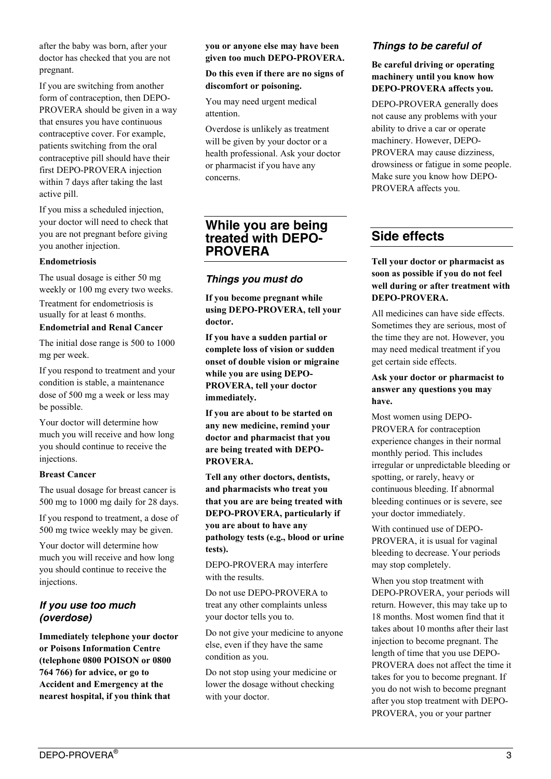after the baby was born, after your doctor has checked that you are not pregnant.

If you are switching from another form of contraception, then DEPO-PROVERA should be given in a way that ensures you have continuous contraceptive cover. For example, patients switching from the oral contraceptive pill should have their first DEPO-PROVERA injection within 7 days after taking the last active pill.

If you miss a scheduled injection, your doctor will need to check that you are not pregnant before giving you another injection.

#### **Endometriosis**

The usual dosage is either 50 mg weekly or 100 mg every two weeks. Treatment for endometriosis is usually for at least 6 months.

#### **Endometrial and Renal Cancer**

The initial dose range is 500 to 1000 mg per week.

If you respond to treatment and your condition is stable, a maintenance dose of 500 mg a week or less may be possible.

Your doctor will determine how much you will receive and how long you should continue to receive the injections.

#### **Breast Cancer**

The usual dosage for breast cancer is 500 mg to 1000 mg daily for 28 days.

If you respond to treatment, a dose of 500 mg twice weekly may be given.

Your doctor will determine how much you will receive and how long you should continue to receive the injections.

## *If you use too much (overdose)*

**Immediately telephone your doctor or Poisons Information Centre (telephone 0800 POISON or 0800 764 766) for advice, or go to Accident and Emergency at the nearest hospital, if you think that** 

#### **you or anyone else may have been given too much DEPO-PROVERA.**

**Do this even if there are no signs of discomfort or poisoning.**

You may need urgent medical attention.

Overdose is unlikely as treatment will be given by your doctor or a health professional. Ask your doctor or pharmacist if you have any concerns.

## **While you are being treated with DEPO-PROVERA**

## *Things you must do*

**If you become pregnant while using DEPO-PROVERA, tell your doctor.**

**If you have a sudden partial or complete loss of vision or sudden onset of double vision or migraine while you are using DEPO-PROVERA, tell your doctor immediately.**

**If you are about to be started on any new medicine, remind your doctor and pharmacist that you are being treated with DEPO-PROVERA.**

**Tell any other doctors, dentists, and pharmacists who treat you that you are are being treated with DEPO-PROVERA, particularly if you are about to have any pathology tests (e.g., blood or urine tests).** 

DEPO-PROVERA may interfere with the results.

Do not use DEPO-PROVERA to treat any other complaints unless your doctor tells you to.

Do not give your medicine to anyone else, even if they have the same condition as you.

Do not stop using your medicine or lower the dosage without checking with your doctor.

## *Things to be careful of*

## **Be careful driving or operating machinery until you know how DEPO-PROVERA affects you.**

DEPO-PROVERA generally does not cause any problems with your ability to drive a car or operate machinery. However, DEPO-PROVERA may cause dizziness, drowsiness or fatigue in some people. Make sure you know how DEPO-PROVERA affects you.

# **Side effects**

## **Tell your doctor or pharmacist as soon as possible if you do not feel well during or after treatment with DEPO-PROVERA.**

All medicines can have side effects. Sometimes they are serious, most of the time they are not. However, you may need medical treatment if you get certain side effects.

## **Ask your doctor or pharmacist to answer any questions you may have.**

Most women using DEPO-PROVERA for contraception experience changes in their normal monthly period. This includes irregular or unpredictable bleeding or spotting, or rarely, heavy or continuous bleeding. If abnormal bleeding continues or is severe, see your doctor immediately.

With continued use of DEPO-PROVERA, it is usual for vaginal bleeding to decrease. Your periods may stop completely.

When you stop treatment with DEPO-PROVERA, your periods will return. However, this may take up to 18 months. Most women find that it takes about 10 months after their last injection to become pregnant. The length of time that you use DEPO-PROVERA does not affect the time it takes for you to become pregnant. If you do not wish to become pregnant after you stop treatment with DEPO-PROVERA, you or your partner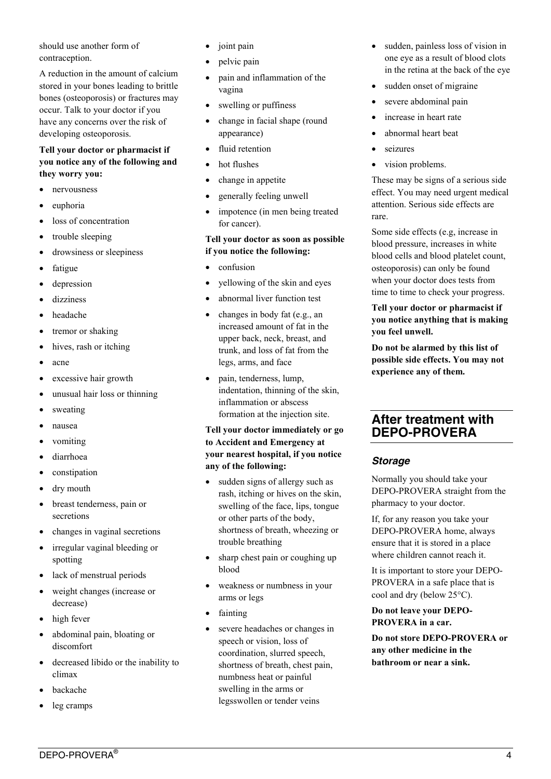should use another form of contraception.

A reduction in the amount of calcium stored in your bones leading to brittle bones (osteoporosis) or fractures may occur. Talk to your doctor if you have any concerns over the risk of developing osteoporosis.

### **Tell your doctor or pharmacist if you notice any of the following and they worry you:**

- nervousness
- euphoria
- loss of concentration
- trouble sleeping
- drowsiness or sleepiness
- fatigue
- depression
- dizziness
- headache
- tremor or shaking
- hives, rash or itching
- acne
- excessive hair growth
- unusual hair loss or thinning
- sweating
- nausea
- vomiting
- diarrhoea
- constipation
- dry mouth
- breast tenderness, pain or secretions
- changes in vaginal secretions
- irregular vaginal bleeding or spotting
- lack of menstrual periods
- weight changes (increase or decrease)
- high fever
- abdominal pain, bloating or discomfort
- decreased libido or the inability to climax
- backache
- leg cramps
- joint pain
- pelvic pain
- pain and inflammation of the vagina
- swelling or puffiness
- change in facial shape (round appearance)
- fluid retention
- hot flushes
- change in appetite
- generally feeling unwell
- impotence (in men being treated for cancer).

#### **Tell your doctor as soon as possible if you notice the following:**

- confusion
- yellowing of the skin and eyes
- abnormal liver function test
- changes in body fat (e.g., an increased amount of fat in the upper back, neck, breast, and trunk, and loss of fat from the legs, arms, and face
- pain, tenderness, lump, indentation, thinning of the skin, inflammation or abscess formation at the injection site.

#### **Tell your doctor immediately or go to Accident and Emergency at your nearest hospital, if you notice any of the following:**

- sudden signs of allergy such as rash, itching or hives on the skin, swelling of the face, lips, tongue or other parts of the body, shortness of breath, wheezing or trouble breathing
- sharp chest pain or coughing up blood
- weakness or numbness in your arms or legs
- fainting
- severe headaches or changes in speech or vision, loss of coordination, slurred speech, shortness of breath, chest pain, numbness heat or painful swelling in the arms or legsswollen or tender veins
- sudden, painless loss of vision in one eye as a result of blood clots in the retina at the back of the eye
- sudden onset of migraine
- severe abdominal pain
- increase in heart rate
- abnormal heart beat
- seizures
- vision problems.

These may be signs of a serious side effect. You may need urgent medical attention. Serious side effects are rare.

Some side effects (e.g, increase in blood pressure, increases in white blood cells and blood platelet count, osteoporosis) can only be found when your doctor does tests from time to time to check your progress.

**Tell your doctor or pharmacist if you notice anything that is making you feel unwell.**

**Do not be alarmed by this list of possible side effects. You may not experience any of them.**

## **After treatment with DEPO-PROVERA**

## *Storage*

Normally you should take your DEPO-PROVERA straight from the pharmacy to your doctor.

If, for any reason you take your DEPO-PROVERA home, always ensure that it is stored in a place where children cannot reach it.

It is important to store your DEPO-PROVERA in a safe place that is cool and dry (below 25°C).

**Do not leave your DEPO-PROVERA in a car.**

**Do not store DEPO-PROVERA or any other medicine in the bathroom or near a sink.**